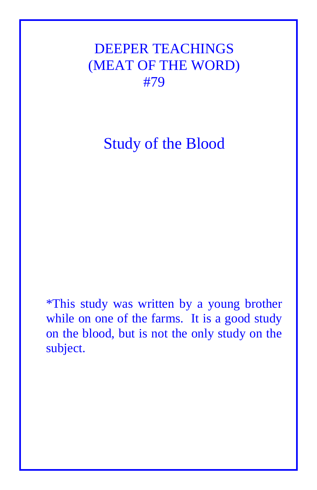DEEPER TEACHINGS (MEAT OF THE WORD) #79

Study of the Blood

\*This study was written by a young brother while on one of the farms. It is a good study on the blood, but is not the only study on the subject.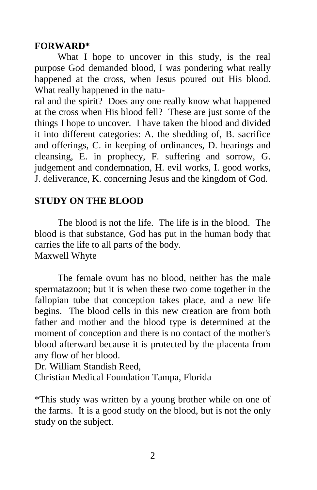#### **FORWARD\***

What I hope to uncover in this study, is the real purpose God demanded blood, I was pondering what really happened at the cross, when Jesus poured out His blood. What really happened in the natu-

ral and the spirit? Does any one really know what happened at the cross when His blood fell? These are just some of the things I hope to uncover. I have taken the blood and divided it into different categories: A. the shedding of, B. sacrifice and offerings, C. in keeping of ordinances, D. hearings and cleansing, E. in prophecy, F. suffering and sorrow, G. judgement and condemnation, H. evil works, I. good works, J. deliverance, K. concerning Jesus and the kingdom of God.

## **STUDY ON THE BLOOD**

The blood is not the life. The life is in the blood. The blood is that substance, God has put in the human body that carries the life to all parts of the body. Maxwell Whyte

The female ovum has no blood, neither has the male spermatazoon; but it is when these two come together in the fallopian tube that conception takes place, and a new life begins. The blood cells in this new creation are from both father and mother and the blood type is determined at the moment of conception and there is no contact of the mother's blood afterward because it is protected by the placenta from any flow of her blood.

Dr. William Standish Reed,

Christian Medical Foundation Tampa, Florida

\*This study was written by a young brother while on one of the farms. It is a good study on the blood, but is not the only study on the subject.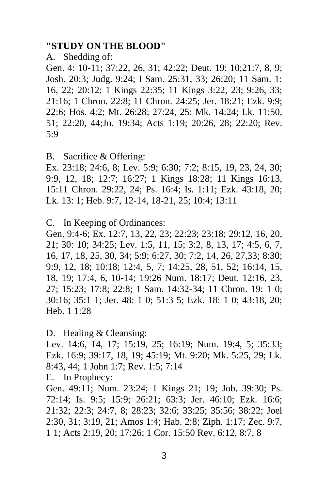#### **"STUDY ON THE BLOOD"**

#### A. Shedding of:

Gen. 4: 10-11; 37:22, 26, 31; 42:22; Deut. 19: 10;21:7, 8, 9; Josh. 20:3; Judg. 9:24; I Sam. 25:31, 33; 26:20; 11 Sam. 1: 16, 22; 20:12; 1 Kings 22:35; 11 Kings 3:22, 23; 9:26, 33; 21:16; 1 Chron. 22:8; 11 Chron. 24:25; Jer. 18:21; Ezk. 9:9; 22:6; Hos. 4:2; Mt. 26:28; 27:24, 25; Mk. 14:24; Lk. 11:50, 51; 22:20, 44;Jn. 19:34; Acts 1:19; 20:26, 28; 22:20; Rev. 5:9

B. Sacrifice & Offering:

Ex. 23:18; 24:6, 8; Lev. 5:9; 6:30; 7:2; 8:15, 19, 23, 24, 30; 9:9, 12, 18; 12:7; 16:27; 1 Kings 18:28; 11 Kings 16:13, 15:11 Chron. 29:22, 24; Ps. 16:4; Is. 1:11; Ezk. 43:18, 20; Lk. 13: 1; Heb. 9:7, 12-14, 18-21, 25; 10:4; 13:11

C. In Keeping of Ordinances:

Gen. 9:4-6; Ex. 12:7, 13, 22, 23; 22:23; 23:18; 29:12, 16, 20, 21; 30: 10; 34:25; Lev. 1:5, 11, 15; 3:2, 8, 13, 17; 4:5, 6, 7, 16, 17, 18, 25, 30, 34; 5:9; 6:27, 30; 7:2, 14, 26, 27,33; 8:30; 9:9, 12, 18; 10:18; 12:4, 5, 7; 14:25, 28, 51, 52; 16:14, 15, 18, 19; 17:4, 6, 10-14; 19:26 Num. 18:17; Deut. 12:16, 23, 27; 15:23; 17:8; 22:8; 1 Sam. 14:32-34; 11 Chron. 19: 1 0; 30:16; 35:1 1; Jer. 48: 1 0; 51:3 5; Ezk. 18: 1 0; 43:18, 20; Heb. 1 1:28

D. Healing & Cleansing:

Lev. 14:6, 14, 17; 15:19, 25; 16:19; Num. 19:4, 5; 35:33; Ezk. 16:9; 39:17, 18, 19; 45:19; Mt. 9:20; Mk. 5:25, 29; Lk. 8:43, 44; 1 John 1:7; Rev. 1:5; 7:14

E. In Prophecy:

Gen. 49:11; Num. 23:24; 1 Kings 21; 19; Job. 39:30; Ps. 72:14; Is. 9:5; 15:9; 26:21; 63:3; Jer. 46:10; Ezk. 16:6; 21:32; 22:3; 24:7, 8; 28:23; 32:6; 33:25; 35:56; 38:22; Joel 2:30, 31; 3:19, 21; Amos 1:4; Hab. 2:8; Ziph. 1:17; Zec. 9:7, 1 1; Acts 2:19, 20; 17:26; 1 Cor. 15:50 Rev. 6:12, 8:7, 8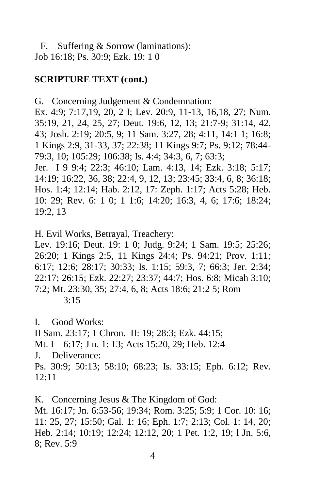F. Suffering & Sorrow (laminations): Job 16:18; Ps. 30:9; Ezk. 19: 1 0

#### **SCRIPTURE TEXT (cont.)**

G. Concerning Judgement & Condemnation: Ex. 4:9; 7:17,19, 20, 2 I; Lev. 20:9, 11-13, 16,18, 27; Num. 35:19, 21, 24, 25, 27; Deut. 19:6, 12, 13; 21:7-9; 31:14, 42, 43; Josh. 2:19; 20:5, 9; 11 Sam. 3:27, 28; 4:11, 14:1 1; 16:8; 1 Kings 2:9, 31-33, 37; 22:38; 11 Kings 9:7; Ps. 9:12; 78:44- 79:3, 10; 105:29; 106:38; Is. 4:4; 34:3, 6, 7; 63:3; Jer. I 9 9:4; 22:3; 46:10; Lam. 4:13, 14; Ezk. 3:18; 5:17; 14:19; 16:22, 36, 38; 22:4, 9, 12, 13; 23:45; 33:4, 6, 8; 36:18; Hos. 1:4; 12:14; Hab. 2:12, 17: Zeph. 1:17; Acts 5:28; Heb. 10: 29; Rev. 6: 1 0; 1 1:6; 14:20; 16:3, 4, 6; 17:6; 18:24; 19:2, 13

H. Evil Works, Betrayal, Treachery:

Lev. 19:16; Deut. 19: 1 0; Judg. 9:24; 1 Sam. 19:5; 25:26; 26:20; 1 Kings 2:5, 11 Kings 24:4; Ps. 94:21; Prov. 1:11; 6:17; 12:6; 28:17; 30:33; Is. 1:15; 59:3, 7; 66:3; Jer. 2:34; 22:17; 26:15; Ezk. 22:27; 23:37; 44:7; Hos. 6:8; Micah 3:10; 7:2; Mt. 23:30, 35; 27:4, 6, 8; Acts 18:6; 21:2 5; Rom 3:15

I. Good Works: II Sam. 23:17; 1 Chron. II: 19; 28:3; Ezk. 44:15; Mt. I 6:17; J n. 1: 13; Acts 15:20, 29; Heb. 12:4 J. Deliverance: Ps. 30:9; 50:13; 58:10; 68:23; Is. 33:15; Eph. 6:12; Rev. 12:11

K. Concerning Jesus & The Kingdom of God: Mt. 16:17; Jn. 6:53-56; 19:34; Rom. 3:25; 5:9; 1 Cor. 10: 16; 11: 25, 27; 15:50; Gal. 1: 16; Eph. 1:7; 2:13; Col. 1: 14, 20; Heb. 2:14; 10:19; 12:24; 12:12, 20; 1 Pet. 1:2, 19; l Jn. 5:6, 8; Rev. 5:9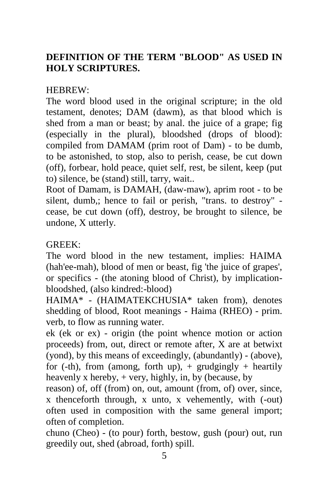# **DEFINITION OF THE TERM "BLOOD" AS USED IN HOLY SCRIPTURES.**

## HEBREW:

The word blood used in the original scripture; in the old testament, denotes; DAM (dawm), as that blood which is shed from a man or beast; by anal. the juice of a grape; fig (especially in the plural), bloodshed (drops of blood): compiled from DAMAM (prim root of Dam) - to be dumb, to be astonished, to stop, also to perish, cease, be cut down (off), forbear, hold peace, quiet self, rest, be silent, keep (put to) silence, be (stand) still, tarry, wait..

Root of Damam, is DAMAH, (daw-maw), aprim root - to be silent, dumb,; hence to fail or perish, "trans. to destroy" cease, be cut down (off), destroy, be brought to silence, be undone, X utterly.

### GREEK:

The word blood in the new testament, implies: HAIMA (hah'ee-mah), blood of men or beast, fig 'the juice of grapes', or specifics - (the atoning blood of Christ), by implicationbloodshed, (also kindred:-blood)

HAIMA\* - (HAIMATEKCHUSIA\* taken from), denotes shedding of blood, Root meanings - Haima (RHEO) - prim. verb, to flow as running water.

ek (ek or ex) - origin (the point whence motion or action proceeds) from, out, direct or remote after, X are at betwixt (yond), by this means of exceedingly, (abundantly) - (above), for (-th), from (among, forth up),  $+$  grudgingly  $+$  heartily heavenly x hereby,  $+$  very, highly, in, by (because, by

reason) of, off (from) on, out, amount (from, of) over, since, x thenceforth through, x unto, x vehemently, with (-out) often used in composition with the same general import; often of completion.

chuno (Cheo) - (to pour) forth, bestow, gush (pour) out, run greedily out, shed (abroad, forth) spill.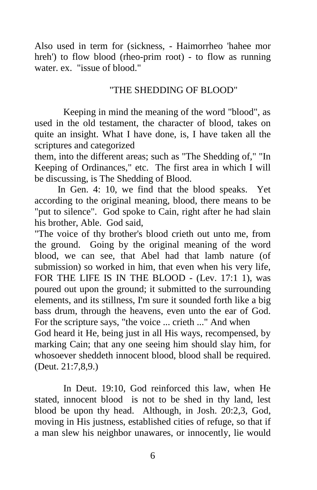Also used in term for (sickness, - Haimorrheo 'hahee mor hreh') to flow blood (rheo-prim root) - to flow as running water. ex. "issue of blood."

### "THE SHEDDING OF BLOOD"

 Keeping in mind the meaning of the word "blood", as used in the old testament, the character of blood, takes on quite an insight. What I have done, is, I have taken all the scriptures and categorized

them, into the different areas; such as "The Shedding of," "In Keeping of Ordinances," etc. The first area in which I will be discussing, is The Shedding of Blood.

In Gen. 4: 10, we find that the blood speaks. Yet according to the original meaning, blood, there means to be "put to silence". God spoke to Cain, right after he had slain his brother, Able. God said,

"The voice of thy brother's blood crieth out unto me, from the ground. Going by the original meaning of the word blood, we can see, that Abel had that lamb nature (of submission) so worked in him, that even when his very life, FOR THE LIFE IS IN THE BLOOD - (Lev. 17:1 1), was poured out upon the ground; it submitted to the surrounding elements, and its stillness, I'm sure it sounded forth like a big bass drum, through the heavens, even unto the ear of God. For the scripture says, "the voice ... crieth ..." And when God heard it He, being just in all His ways, recompensed, by marking Cain; that any one seeing him should slay him, for whosoever sheddeth innocent blood, blood shall be required. (Deut. 21:7,8,9.)

In Deut. 19:10, God reinforced this law, when He stated, innocent blood is not to be shed in thy land, lest blood be upon thy head. Although, in Josh. 20:2,3, God, moving in His justness, established cities of refuge, so that if a man slew his neighbor unawares, or innocently, lie would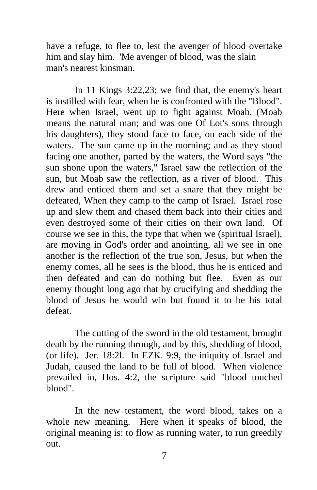have a refuge, to flee to, lest the avenger of blood overtake him and slay him. 'Me avenger of blood, was the slain man's nearest kinsman.

 In 11 Kings 3:22,23; we find that, the enemy's heart is instilled with fear, when he is confronted with the "Blood". Here when Israel, went up to fight against Moab, (Moab means the natural man; and was one Of Lot's sons through his daughters), they stood face to face, on each side of the waters. The sun came up in the morning; and as they stood facing one another, parted by the waters, the Word says "the sun shone upon the waters," Israel saw the reflection of the sun, but Moab saw the reflection, as a river of blood. This drew and enticed them and set a snare that they might be defeated, When they camp to the camp of Israel. Israel rose up and slew them and chased them back into their cities and even destroyed some of their cities on their own land. Of course we see in this, the type that when we (spiritual Israel), are moving in God's order and anointing, all we see in one another is the reflection of the true son, Jesus, but when the enemy comes, all he sees is the blood, thus he is enticed and then defeated and can do nothing but flee. Even as our enemy thought long ago that by crucifying and shedding the blood of Jesus he would win but found it to be his total defeat.

The cutting of the sword in the old testament, brought death by the running through, and by this, shedding of blood, (or life). Jer. 18:2l. In EZK. 9:9, the iniquity of Israel and Judah, caused the land to be full of blood. When violence prevailed in, Hos. 4:2, the scripture said "blood touched blood".

In the new testament, the word blood, takes on a whole new meaning. Here when it speaks of blood, the original meaning is: to flow as running water, to run greedily out.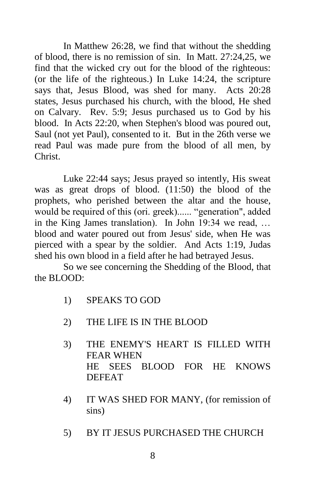In Matthew 26:28, we find that without the shedding of blood, there is no remission of sin. In Matt. 27:24,25, we find that the wicked cry out for the blood of the righteous: (or the life of the righteous.) In Luke 14:24, the scripture says that, Jesus Blood, was shed for many. Acts 20:28 states, Jesus purchased his church, with the blood, He shed on Calvary. Rev. 5:9; Jesus purchased us to God by his blood. In Acts 22:20, when Stephen's blood was poured out, Saul (not yet Paul), consented to it. But in the 26th verse we read Paul was made pure from the blood of all men, by Christ.

Luke 22:44 says; Jesus prayed so intently, His sweat was as great drops of blood. (11:50) the blood of the prophets, who perished between the altar and the house, would be required of this (ori. greek)...... "generation", added in the King James translation). In John 19:34 we read, … blood and water poured out from Jesus' side, when He was pierced with a spear by the soldier. And Acts 1:19, Judas shed his own blood in a field after he had betrayed Jesus.

So we see concerning the Shedding of the Blood, that the BLOOD:

- 1) SPEAKS TO GOD
- 2) THE LIFE IS IN THE BLOOD
- 3) THE ENEMY'S HEART IS FILLED WITH FEAR WHEN HE SEES BLOOD FOR HE KNOWS DEFEAT
- 4) IT WAS SHED FOR MANY, (for remission of sins)
- 5) BY IT JESUS PURCHASED THE CHURCH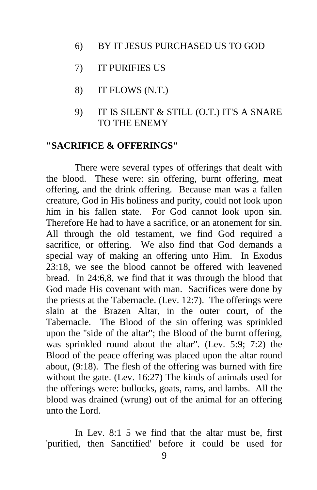- 6) BY IT JESUS PURCHASED US TO GOD
- 7) IT PURIFIES US
- 8) IT FLOWS (N.T.)
- 9) IT IS SILENT & STILL (O.T.) IT'S A SNARE TO THE ENEMY

#### **"SACRIFICE & OFFERINGS"**

There were several types of offerings that dealt with the blood. These were: sin offering, burnt offering, meat offering, and the drink offering. Because man was a fallen creature, God in His holiness and purity, could not look upon him in his fallen state. For God cannot look upon sin. Therefore He had to have a sacrifice, or an atonement for sin. All through the old testament, we find God required a sacrifice, or offering. We also find that God demands a special way of making an offering unto Him. In Exodus 23:18, we see the blood cannot be offered with leavened bread. In 24:6,8, we find that it was through the blood that God made His covenant with man. Sacrifices were done by the priests at the Tabernacle. (Lev. 12:7). The offerings were slain at the Brazen Altar, in the outer court, of the Tabernacle. The Blood of the sin offering was sprinkled upon the "side of the altar"; the Blood of the burnt offering, was sprinkled round about the altar". (Lev. 5:9; 7:2) the Blood of the peace offering was placed upon the altar round about, (9:18). The flesh of the offering was burned with fire without the gate. (Lev. 16:27) The kinds of animals used for the offerings were: bullocks, goats, rams, and lambs. All the blood was drained (wrung) out of the animal for an offering unto the Lord.

In Lev. 8:1 5 we find that the altar must be, first 'purified, then Sanctified' before it could be used for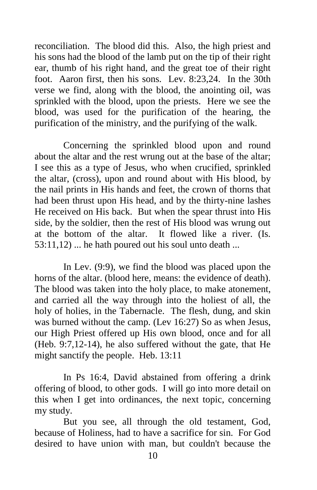reconciliation. The blood did this. Also, the high priest and his sons had the blood of the lamb put on the tip of their right ear, thumb of his right hand, and the great toe of their right foot. Aaron first, then his sons. Lev. 8:23,24. In the 30th verse we find, along with the blood, the anointing oil, was sprinkled with the blood, upon the priests. Here we see the blood, was used for the purification of the hearing, the purification of the ministry, and the purifying of the walk.

Concerning the sprinkled blood upon and round about the altar and the rest wrung out at the base of the altar; I see this as a type of Jesus, who when crucified, sprinkled the altar, (cross), upon and round about with His blood, by the nail prints in His hands and feet, the crown of thorns that had been thrust upon His head, and by the thirty-nine lashes He received on His back. But when the spear thrust into His side, by the soldier, then the rest of His blood was wrung out at the bottom of the altar. It flowed like a river. (Is. 53:11,12) ... he hath poured out his soul unto death ...

In Lev. (9:9), we find the blood was placed upon the horns of the altar. (blood here, means: the evidence of death). The blood was taken into the holy place, to make atonement, and carried all the way through into the holiest of all, the holy of holies, in the Tabernacle. The flesh, dung, and skin was burned without the camp. (Lev 16:27) So as when Jesus, our High Priest offered up His own blood, once and for all (Heb. 9:7,12-14), he also suffered without the gate, that He might sanctify the people. Heb. 13:11

In Ps 16:4, David abstained from offering a drink offering of blood, to other gods. I will go into more detail on this when I get into ordinances, the next topic, concerning my study.

But you see, all through the old testament, God, because of Holiness, had to have a sacrifice for sin. For God desired to have union with man, but couldn't because the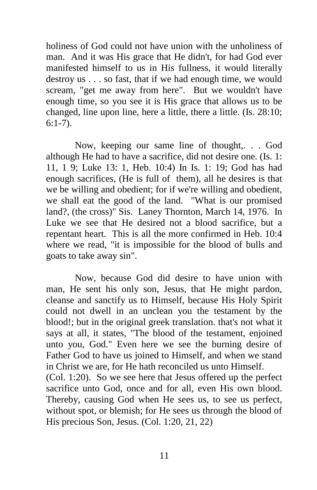holiness of God could not have union with the unholiness of man. And it was His grace that He didn't, for had God ever manifested himself to us in His fullness, it would literally destroy us . . . so fast, that if we had enough time, we would scream, "get me away from here". But we wouldn't have enough time, so you see it is His grace that allows us to be changed, line upon line, here a little, there a little. (Is. 28:10; 6:1-7).

Now, keeping our same line of thought,. . . God although He had to have a sacrifice, did not desire one. (Is. 1: 11, 1 9; Luke 13: 1*,* Heb. 10:4) In Is. 1: 19; God has had enough sacrifices, (He is full of them), all he desires is that we be willing and obedient; for if we're willing and obedient, we shall eat the good of the land. "What is our promised land?, (the cross)" Sis. Laney Thornton, March 14, 1976. In Luke we see that He desired not a blood sacrifice, but a repentant heart. This is all the more confirmed in Heb. 10:4 where we read, "it is impossible for the blood of bulls and goats to take away sin".

Now, because God did desire to have union with man, He sent his only son, Jesus, that He might pardon, cleanse and sanctify us to Himself, because His Holy Spirit could not dwell in an unclean you the testament by the blood!; but in the original greek translation. that's not what it says at all, it states, "The blood of the testament, enjoined unto you, God." Even here we see the burning desire of Father God to have us joined to Himself, and when we stand in Christ we are, for He hath reconciled us unto Himself. (Col. 1:20). So we see here that Jesus offered up the perfect sacrifice unto God, once and for all, even His own blood. Thereby, causing God when He sees us, to see us perfect, without spot, or blemish; for He sees us through the blood of

His precious Son, Jesus. (Col. 1:20, 21, 22)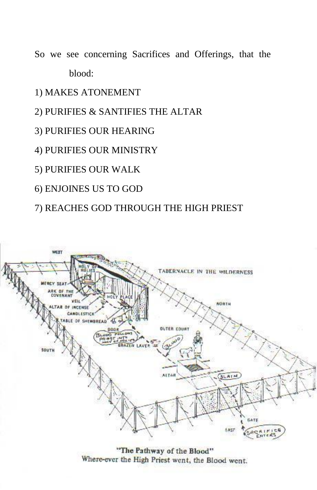- So we see concerning Sacrifices and Offerings, that the blood:
- 1) MAKES ATONEMENT
- 2) PURIFIES & SANTIFIES THE ALTAR
- 3) PURIFIES OUR HEARING
- 4) PURIFIES OUR MINISTRY
- 5) PURIFIES OUR WALK
- 6) ENJOINES US TO GOD
- 7) REACHES GOD THROUGH THE HIGH PRIEST



"The Pathway of the Blood"<br>Where-ever the High Priest went, the Blood went.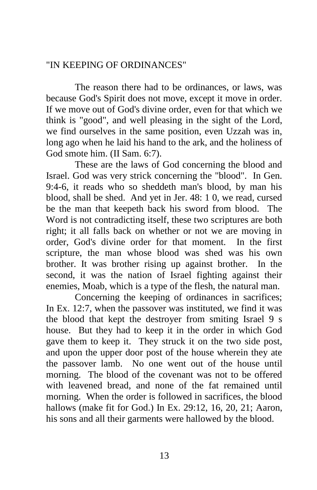# "IN KEEPING OF ORDINANCES"

The reason there had to be ordinances, or laws, was because God's Spirit does not move, except it move in order. If we move out of God's divine order, even for that which we think is "good", and well pleasing in the sight of the Lord, we find ourselves in the same position, even Uzzah was in, long ago when he laid his hand to the ark, and the holiness of God smote him. (II Sam. 6:7).

These are the laws of God concerning the blood and Israel. God was very strick concerning the "blood". In Gen. 9:4-6, it reads who so sheddeth man's blood, by man his blood, shall be shed. And yet in Jer. 48: 1 0, we read, cursed be the man that keepeth back his sword from blood. The Word is not contradicting itself, these two scriptures are both right; it all falls back on whether or not we are moving in order, God's divine order for that moment. In the first scripture, the man whose blood was shed was his own brother. It was brother rising up against brother. In the second, it was the nation of Israel fighting against their enemies, Moab, which is a type of the flesh, the natural man.

Concerning the keeping of ordinances in sacrifices; In Ex. 12:7, when the passover was instituted, we find it was the blood that kept the destroyer from smiting Israel 9 s house. But they had to keep it in the order in which God gave them to keep it. They struck it on the two side post, and upon the upper door post of the house wherein they ate the passover lamb. No one went out of the house until morning. The blood of the covenant was not to be offered with leavened bread, and none of the fat remained until morning. When the order is followed in sacrifices, the blood hallows (make fit for God.) In Ex. 29:12, 16, 20, 21; Aaron, his sons and all their garments were hallowed by the blood.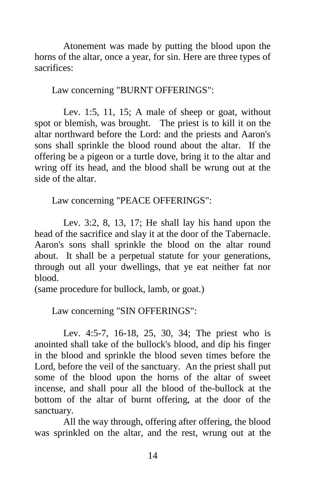Atonement was made by putting the blood upon the horns of the altar, once a year, for sin. Here are three types of sacrifices:

Law concerning "BURNT OFFERINGS":

Lev. 1:5, 11, 15; A male of sheep or goat, without spot or blemish, was brought. The priest is to kill it on the altar northward before the Lord: and the priests and Aaron's sons shall sprinkle the blood round about the altar. If the offering be a pigeon or a turtle dove, bring it to the altar and wring off its head, and the blood shall be wrung out at the side of the altar.

Law concerning "PEACE OFFERINGS":

Lev. 3:2, 8, 13, 17; He shall lay his hand upon the head of the sacrifice and slay it at the door of the Tabernacle. Aaron's sons shall sprinkle the blood on the altar round about. It shall be a perpetual statute for your generations, through out all your dwellings, that ye eat neither fat nor blood.

(same procedure for bullock, lamb, or goat.)

Law concerning "SIN OFFERINGS":

Lev. 4:5-7, 16-18, 25, 30, 34; The priest who is anointed shall take of the bullock's blood, and dip his finger in the blood and sprinkle the blood seven times before the Lord, before the veil of the sanctuary. An the priest shall put some of the blood upon the horns of the altar of sweet incense, and shall pour all the blood of the-bullock at the bottom of the altar of burnt offering, at the door of the sanctuary.

All the way through, offering after offering, the blood was sprinkled on the altar, and the rest, wrung out at the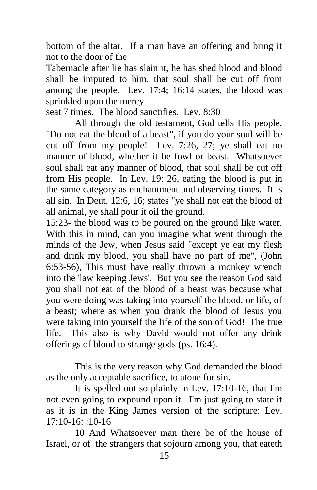bottom of the altar. If a man have an offering and bring it not to the door of the

Tabernacle after lie has slain it, he has shed blood and blood shall be imputed to him, that soul shall be cut off from among the people. Lev. 17:4; 16:14 states, the blood was sprinkled upon the mercy

seat 7 times. The blood sanctifies. Lev. 8:30

All through the old testament, God tells His people, "Do not eat the blood of a beast", if you do your soul will be cut off from my people! Lev. 7:26, 27; ye shall eat no manner of blood, whether it be fowl or beast. Whatsoever soul shall eat any manner of blood, that soul shall be cut off from His people. In Lev. 19: 26, eating the blood is put in the same category as enchantment and observing times. It is all sin. In Deut. 12:6, 16; states "ye shall not eat the blood of all animal, ye shall pour it oil the ground.

15:23- the blood was to be poured on the ground like water. With this in mind, can you imagine what went through the minds of the Jew, when Jesus said "except ye eat my flesh and drink my blood, you shall have no part of me", (John 6:53-56), This must have really thrown a monkey wrench into the 'law keeping Jews'. But you see the reason God said you shall not eat of the blood of a beast was because what you were doing was taking into yourself the blood, or life, of a beast; where as when you drank the blood of Jesus you were taking into yourself the life of the son of God! The true life. This also is why David would not offer any drink offerings of blood to strange gods (ps. 16:4).

This is the very reason why God demanded the blood as the only acceptable sacrifice, to atone for sin.

It is spelled out so plainly in Lev. 17:10-16, that I'm not even going to expound upon it. I'm just going to state it as it is in the King James version of the scripture: Lev.  $17:10-16:10-16$ 

10 And Whatsoever man there be of the house of Israel, or of the strangers that sojourn among you, that eateth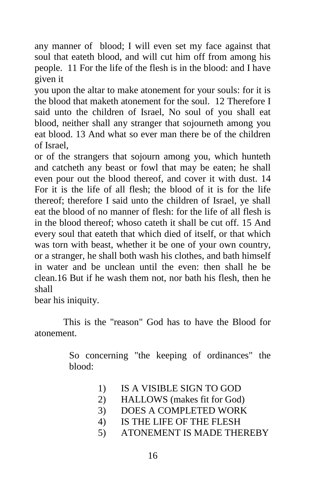any manner of blood; I will even set my face against that soul that eateth blood, and will cut him off from among his people. 11 For the life of the flesh is in the blood: and I have given it

you upon the altar to make atonement for your souls: for it is the blood that maketh atonement for the soul. 12 Therefore I said unto the children of Israel, No soul of you shall eat blood, neither shall any stranger that sojourneth among you eat blood. 13 And what so ever man there be of the children of Israel,

or of the strangers that sojourn among you, which hunteth and catcheth any beast or fowl that may be eaten; he shall even pour out the blood thereof, and cover it with dust. 14 For it is the life of all flesh; the blood of it is for the life thereof; therefore I said unto the children of Israel, ye shall eat the blood of no manner of flesh: for the life of all flesh is in the blood thereof; whoso cateth it shall be cut off. 15 And every soul that eateth that which died of itself, or that which was torn with beast, whether it be one of your own country, or a stranger, he shall both wash his clothes, and bath himself in water and be unclean until the even: then shall he be clean.16 But if he wash them not, nor bath his flesh, then he shall

bear his iniquity.

This is the "reason" God has to have the Blood for atonement.

> So concerning "the keeping of ordinances" the blood:

- 1) IS A VISIBLE SIGN TO GOD
- 2) HALLOWS (makes fit for God)
- 3) DOES A COMPLETED WORK
- 4) IS THE LIFE OF THE FLESH
- 5) ATONEMENT IS MADE THEREBY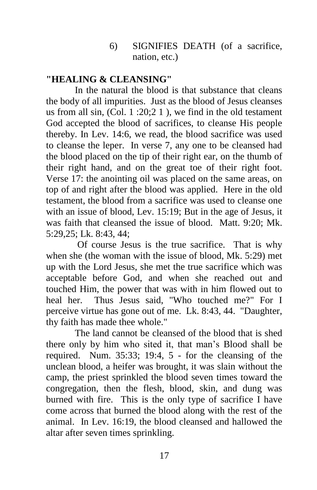### 6) SIGNIFIES DEATH (of a sacrifice, nation, etc.)

## **"HEALING & CLEANSING"**

In the natural the blood is that substance that cleans the body of all impurities. Just as the blood of Jesus cleanses us from all sin, (Col. 1 :20;2 1 ), we find in the old testament God accepted the blood of sacrifices, to cleanse His people thereby. In Lev. 14:6, we read, the blood sacrifice was used to cleanse the leper. In verse 7, any one to be cleansed had the blood placed on the tip of their right ear, on the thumb of their right hand, and on the great toe of their right foot. Verse 17: the anointing oil was placed on the same areas, on top of and right after the blood was applied. Here in the old testament, the blood from a sacrifice was used to cleanse one with an issue of blood, Lev. 15:19; But in the age of Jesus, it was faith that cleansed the issue of blood. Matt. 9:20; Mk. 5:29,25; Lk. 8:43, 44;

Of course Jesus is the true sacrifice. That is why when she (the woman with the issue of blood, Mk. 5:29) met up with the Lord Jesus, she met the true sacrifice which was acceptable before God, and when she reached out and touched Him, the power that was with in him flowed out to heal her. Thus Jesus said, "Who touched me?" For I perceive virtue has gone out of me. Lk. 8:43, 44. "Daughter, thy faith has made thee whole."

The land cannot be cleansed of the blood that is shed there only by him who sited it, that man's Blood shall be required. Num. 35:33; 19:4, 5 - for the cleansing of the unclean blood, a heifer was brought, it was slain without the camp, the priest sprinkled the blood seven times toward the congregation, then the flesh, blood, skin, and dung was burned with fire. This is the only type of sacrifice I have come across that burned the blood along with the rest of the animal. In Lev. 16:19, the blood cleansed and hallowed the altar after seven times sprinkling.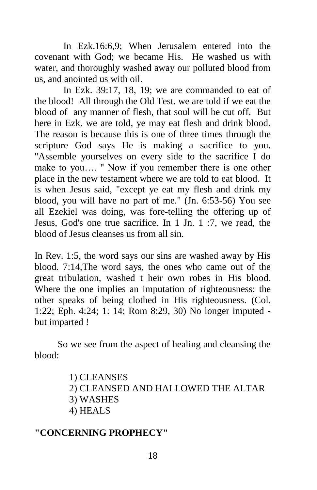In Ezk.16:6,9; When Jerusalem entered into the covenant with God; we became His. He washed us with water, and thoroughly washed away our polluted blood from us, and anointed us with oil.

In Ezk. 39:17, 18, 19; we are commanded to eat of the blood! All through the Old Test. we are told if we eat the blood of any manner of flesh, that soul will be cut off. But here in Ezk. we are told, ye may eat flesh and drink blood. The reason is because this is one of three times through the scripture God says He is making a sacrifice to you. "Assemble yourselves on every side to the sacrifice I do make to you…. " Now if you remember there is one other place in the new testament where we are told to eat blood. It is when Jesus said, "except ye eat my flesh and drink my blood, you will have no part of me." (Jn. 6:53-56) You see all Ezekiel was doing, was fore-telling the offering up of Jesus, God's one true sacrifice. In 1 Jn. 1 :7, we read, the blood of Jesus cleanses us from all sin.

In Rev. 1:5, the word says our sins are washed away by His blood. 7:14,The word says, the ones who came out of the great tribulation, washed t heir own robes in His blood. Where the one implies an imputation of righteousness; the other speaks of being clothed in His righteousness. (Col. 1:22; Eph. 4:24; 1: 14; Rom 8:29, 30) No longer imputed but imparted !

So we see from the aspect of healing and cleansing the blood:

- 1) CLEANSES
- 2) CLEANSED AND HALLOWED THE ALTAR
- 3) WASHES
- 4) HEALS

# **"CONCERNING PROPHECY"**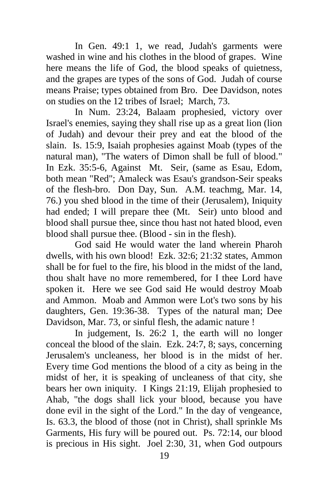In Gen. 49:1 1, we read, Judah's garments were washed in wine and his clothes in the blood of grapes. Wine here means the life of God, the blood speaks of quietness, and the grapes are types of the sons of God. Judah of course means Praise; types obtained from Bro. Dee Davidson, notes on studies on the 12 tribes of Israel; March, 73.

In Num. 23:24, Balaam prophesied, victory over Israel's enemies, saying they shall rise up as a great lion (lion of Judah) and devour their prey and eat the blood of the slain. Is. 15:9, Isaiah prophesies against Moab (types of the natural man), "The waters of Dimon shall be full of blood." In Ezk. 35:5-6, Against Mt. Seir, (same as Esau, Edom, both mean "Red"; Amaleck was Esau's grandson-Seir speaks of the flesh-bro. Don Day, Sun. A.M. teachmg, Mar. 14, 76.) you shed blood in the time of their (Jerusalem), Iniquity had ended; I will prepare thee (Mt. Seir) unto blood and blood shall pursue thee, since thou hast not hated blood, even blood shall pursue thee. (Blood - sin in the flesh).

God said He would water the land wherein Pharoh dwells, with his own blood! Ezk. 32:6; 21:32 states, Ammon shall be for fuel to the fire, his blood in the midst of the land, thou shalt have no more remembered, for I thee Lord have spoken it. Here we see God said He would destroy Moab and Ammon. Moab and Ammon were Lot's two sons by his daughters, Gen. 19:36-38. Types of the natural man; Dee Davidson, Mar. 73, or sinful flesh, the adamic nature !

In judgement, Is. 26:2 1, the earth will no longer conceal the blood of the slain. Ezk. 24:7, 8; says, concerning Jerusalem's uncleaness, her blood is in the midst of her. Every time God mentions the blood of a city as being in the midst of her, it is speaking of uncleaness of that city, she bears her own iniquity. I Kings 21:19, Elijah prophesied to Ahab, "the dogs shall lick your blood, because you have done evil in the sight of the Lord." In the day of vengeance, Is. 63.3, the blood of those (not in Christ), shall sprinkle Ms Garments, His fury will be poured out. Ps. 72:14, our blood is precious in His sight. Joel 2:30, 31, when God outpours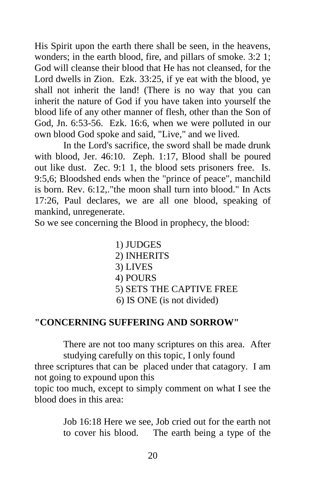His Spirit upon the earth there shall be seen, in the heavens, wonders; in the earth blood, fire, and pillars of smoke. 3:2 1; God will cleanse their blood that He has not cleansed, for the Lord dwells in Zion. Ezk. 33:25, if ye eat with the blood, ye shall not inherit the land! (There is no way that you can inherit the nature of God if you have taken into yourself the blood life of any other manner of flesh, other than the Son of God, Jn. 6:53-56. Ezk. 16:6, when we were polluted in our own blood God spoke and said, "Live," and we lived.

In the Lord's sacrifice, the sword shall be made drunk with blood, Jer. 46:10. Zeph. 1:17, Blood shall be poured out like dust. Zec. 9:1 1, the blood sets prisoners free. Is. 9:5,6; Bloodshed ends when the "prince of peace", manchild is born. Rev. 6:12,."the moon shall turn into blood." In Acts 17:26, Paul declares, we are all one blood, speaking of mankind, unregenerate.

So we see concerning the Blood in prophecy, the blood:

1) JUDGES 2) INHERITS 3) LIVES 4) POURS 5) SETS THE CAPTIVE FREE 6) IS ONE (is not divided)

### **"CONCERNING SUFFERING AND SORROW"**

There are not too many scriptures on this area. After studying carefully on this topic, I only found

three scriptures that can be placed under that catagory. I am not going to expound upon this

topic too much, except to simply comment on what I see the blood does in this area:

> Job 16:18 Here we see, Job cried out for the earth not to cover his blood. The earth being a type of the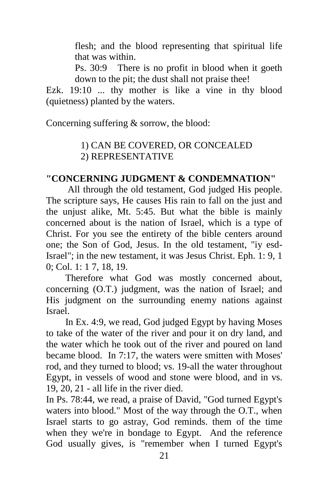flesh; and the blood representing that spiritual life that was within.

Ps. 30:9 There is no profit in blood when it goeth down to the pit; the dust shall not praise thee!

Ezk. 19:10 ... thy mother is like a vine in thy blood (quietness) planted by the waters.

Concerning suffering & sorrow, the blood:

# 1) CAN BE COVERED, OR CONCEALED 2) REPRESENTATIVE

### **"CONCERNING JUDGMENT & CONDEMNATION"**

 All through the old testament, God judged His people. The scripture says, He causes His rain to fall on the just and the unjust alike, Mt. 5:45. But what the bible is mainly concerned about is the nation of Israel, which is a type of Christ. For you see the entirety of the bible centers around one; the Son of God, Jesus. In the old testament, "iy esd-Israel"; in the new testament, it was Jesus Christ. Eph. 1: 9, 1 0; Col. 1: 1 7, 18, 19.

 Therefore what God was mostly concerned about, concerning (O.T.) judgment, was the nation of Israel; and His judgment on the surrounding enemy nations against Israel.

 In Ex. 4:9, we read, God judged Egypt by having Moses to take of the water of the river and pour it on dry land, and the water which he took out of the river and poured on land became blood. In 7:17, the waters were smitten with Moses' rod, and they turned to blood; vs. 19-all the water throughout Egypt, in vessels of wood and stone were blood, and in vs. 19, 20, 21 - all life in the river died.

In Ps. 78:44, we read, a praise of David, "God turned Egypt's waters into blood." Most of the way through the O.T., when Israel starts to go astray, God reminds. them of the time when they we're in bondage to Egypt. And the reference God usually gives, is "remember when I turned Egypt's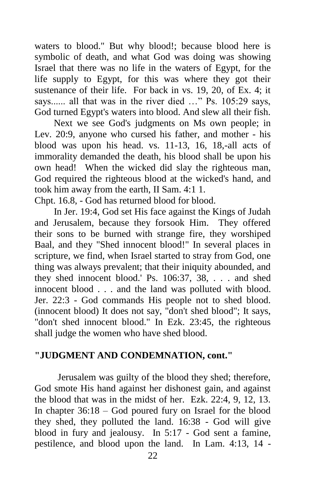waters to blood." But why blood!; because blood here is symbolic of death, and what God was doing was showing Israel that there was no life in the waters of Egypt, for the life supply to Egypt, for this was where they got their sustenance of their life. For back in vs. 19, 20, of Ex. 4; it says...... all that was in the river died …" Ps. 105:29 says, God turned Egypt's waters into blood. And slew all their fish.

 Next we see God's judgments on Ms own people; in Lev. 20:9, anyone who cursed his father, and mother - his blood was upon his head. vs. 11-13, 16, 18,-all acts of immorality demanded the death, his blood shall be upon his own head! When the wicked did slay the righteous man, God required the righteous blood at the wicked's hand, and took him away from the earth, II Sam. 4:1 1.

Chpt. 16.8, - God has returned blood for blood.

 In Jer. 19:4, God set His face against the Kings of Judah and Jerusalem, because they forsook Him. They offered their sons to be burned with strange fire, they worshiped Baal, and they "Shed innocent blood!" In several places in scripture, we find, when Israel started to stray from God, one thing was always prevalent; that their iniquity abounded, and they shed innocent blood.' Ps. 106:37, 38, . . . and shed innocent blood . . . and the land was polluted with blood. Jer. 22:3 - God commands His people not to shed blood. (innocent blood) It does not say, "don't shed blood"; It says, "don't shed innocent blood." In Ezk. 23:45, the righteous shall judge the women who have shed blood.

# **"JUDGMENT AND CONDEMNATION, cont."**

Jerusalem was guilty of the blood they shed; therefore, God smote His hand against her dishonest gain, and against the blood that was in the midst of her. Ezk. 22:4, 9, 12, 13. In chapter 36:18 – God poured fury on Israel for the blood they shed, they polluted the land. 16:38 - God will give blood in fury and jealousy. In 5:17 - God sent a famine, pestilence, and blood upon the land. In Lam. 4:13, 14 -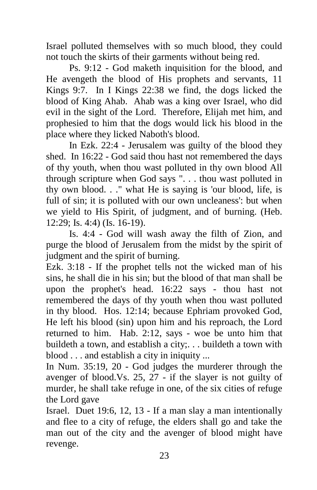Israel polluted themselves with so much blood, they could not touch the skirts of their garments without being red.

Ps. 9:12 - God maketh inquisition for the blood, and He avengeth the blood of His prophets and servants, 11 Kings 9:7. In I Kings 22:38 we find, the dogs licked the blood of King Ahab. Ahab was a king over Israel, who did evil in the sight of the Lord. Therefore, Elijah met him, and prophesied to him that the dogs would lick his blood in the place where they licked Naboth's blood.

In Ezk. 22:4 - Jerusalem was guilty of the blood they shed. In 16:22 - God said thou hast not remembered the days of thy youth, when thou wast polluted in thy own blood All through scripture when God says ". . . thou wast polluted in thy own blood. . ." what He is saying is 'our blood, life, is full of sin; it is polluted with our own uncleaness': but when we yield to His Spirit, of judgment, and of burning. (Heb. 12:29; Is. 4:4) (Is. 16-19).

Is. 4:4 - God will wash away the filth of Zion, and purge the blood of Jerusalem from the midst by the spirit of judgment and the spirit of burning.

Ezk. 3:18 - If the prophet tells not the wicked man of his sins, he shall die in his sin; but the blood of that man shall be upon the prophet's head. 16:22 says - thou hast not remembered the days of thy youth when thou wast polluted in thy blood. Hos. 12:14; because Ephriam provoked God, He left his blood (sin) upon him and his reproach, the Lord returned to him. Hab. 2:12, says - woe be unto him that buildeth a town, and establish a city;. . . buildeth a town with blood . . . and establish a city in iniquity ...

In Num. 35:19, 20 - God judges the murderer through the avenger of blood.Vs. 25, 27 - if the slayer is not guilty of murder, he shall take refuge in one, of the six cities of refuge the Lord gave

Israel. Duet 19:6, 12, 13 - If a man slay a man intentionally and flee to a city of refuge, the elders shall go and take the man out of the city and the avenger of blood might have revenge.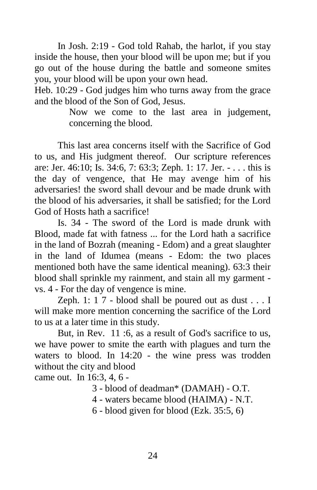In Josh. 2:19 - God told Rahab, the harlot, if you stay inside the house, then your blood will be upon me; but if you go out of the house during the battle and someone smites you, your blood will be upon your own head.

Heb. 10:29 - God judges him who turns away from the grace and the blood of the Son of God, Jesus.

> Now we come to the last area in judgement, concerning the blood.

This last area concerns itself with the Sacrifice of God to us, and His judgment thereof. Our scripture references are: Jer. 46:10; Is. 34:6, 7: 63:3; Zeph. 1: 17. Jer. - . . . this is the day of vengence, that He may avenge him of his adversaries! the sword shall devour and be made drunk with the blood of his adversaries, it shall be satisfied; for the Lord God of Hosts hath a sacrifice!

Is. 34 - The sword of the Lord is made drunk with Blood, made fat with fatness ... for the Lord hath a sacrifice in the land of Bozrah (meaning - Edom) and a great slaughter in the land of Idumea (means - Edom: the two places mentioned both have the same identical meaning). 63:3 their blood shall sprinkle my rainment, and stain all my garment vs. 4 - For the day of vengence is mine.

Zeph. 1: 1 7 - blood shall be poured out as dust . . . I will make more mention concerning the sacrifice of the Lord to us at a later time in this study.

But, in Rev. 11:6, as a result of God's sacrifice to us, we have power to smite the earth with plagues and turn the waters to blood. In 14:20 - the wine press was trodden without the city and blood

came out. In 16:3, 4, 6 -

3 - blood of deadman\* (DAMAH) - O.T.

4 - waters became blood (HAIMA) - N.T.

6 - blood given for blood (Ezk. 35:5, 6)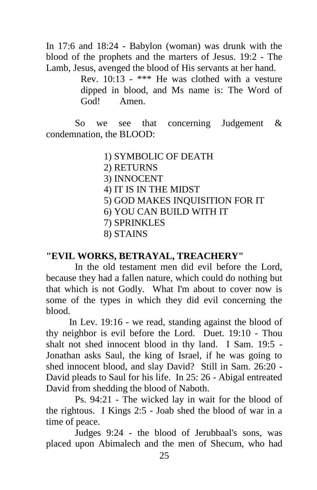In 17:6 and 18:24 - Babylon (woman) was drunk with the blood of the prophets and the marters of Jesus. 19:2 - The Lamb, Jesus, avenged the blood of His servants at her hand.

Rev. 10:13 *-* \*\*\* He was clothed with a vesture dipped in blood, and Ms name is: The Word of God! Amen.

So we see that concerning Judgement & condemnation, the BLOOD:

- 1) SYMBOLIC OF DEATH
- 2) RETURNS
- 3) INNOCENT
- 4) IT IS IN THE MIDST
- 5) GOD MAKES INQUISITION FOR IT
- 6) YOU CAN BUILD WITH IT
- 7) SPRINKLES
- 8) STAINS

### **"EVIL WORKS, BETRAYAL, TREACHERY"**

In the old testament men did evil before the Lord, because they had a fallen nature, which could do nothing but that which is not Godly. What I'm about to cover now is some of the types in which they did evil concerning the blood.

In Lev. 19:16 - we read, standing against the blood of thy neighbor is evil before the Lord. Duet. 19:10 - Thou shalt not shed innocent blood in thy land. I Sam. 19:5 - Jonathan asks Saul, the king of Israel, if he was going to shed innocent blood, and slay David? Still in Sam. 26:20 - David pleads to Saul for his life. In 25: 26 - Abigal entreated David from shedding the blood of Naboth.

Ps. 94:21 - The wicked lay in wait for the blood of the rightous. I Kings 2:5 - Joab shed the blood of war in a time of peace.

Judges 9:24 - the blood of Jerubbaal's sons, was placed upon Abimalech and the men of Shecum, who had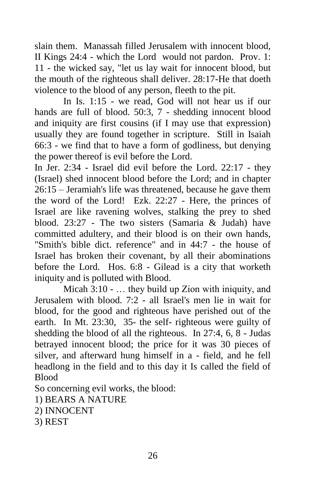slain them. Manassah filled Jerusalem with innocent blood, II Kings 24:4 - which the Lord would not pardon. Prov. 1: 11 - the wicked say, "let us lay wait for innocent blood, but the mouth of the righteous shall deliver. 28:17-He that doeth violence to the blood of any person, fleeth to the pit.

In Is. 1:15 - we read, God will not hear us if our hands are full of blood. 50:3, 7 - shedding innocent blood and iniquity are first cousins (if I may use that expression) usually they are found together in scripture. Still in Isaiah 66:3 - we find that to have a form of godliness, but denying the power thereof is evil before the Lord.

In Jer. 2:34 - Israel did evil before the Lord. 22:17 - they (Israel) shed innocent blood before the Lord; and in chapter 26:15 – Jeramiah's life was threatened, because he gave them the word of the Lord! Ezk. 22:27 - Here, the princes of Israel are like ravening wolves, stalking the prey to shed blood. 23:27 - The two sisters (Samaria & Judah) have committed adultery, and their blood is on their own hands, "Smith's bible dict. reference" and in 44:7 - the house of Israel has broken their covenant, by all their abominations before the Lord. Hos. 6:8 - Gilead is a city that worketh iniquity and is polluted with Blood.

Micah 3:10 - … they build up Zion with iniquity, and Jerusalem with blood. 7:2 - all Israel's men lie in wait for blood, for the good and righteous have perished out of the earth. In Mt. 23:30, 35- the self- righteous were guilty of shedding the blood of all the righteous. In 27:4, 6, 8 - Judas betrayed innocent blood; the price for it was 30 pieces of silver, and afterward hung himself in a - field, and he fell headlong in the field and to this day it Is called the field of Blood

So concerning evil works, the blood:

- 1) BEARS A NATURE
- 2) INNOCENT
- 3) REST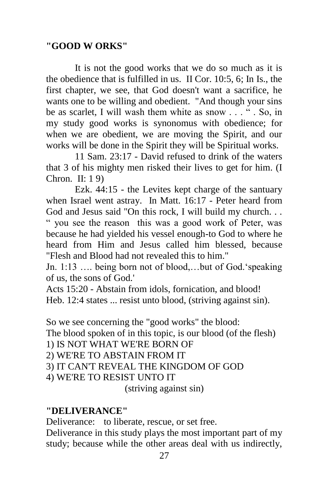## **"GOOD W ORKS"**

It is not the good works that we do so much as it is the obedience that is fulfilled in us. II Cor. 10:5, 6; In Is., the first chapter, we see, that God doesn't want a sacrifice, he wants one to be willing and obedient. "And though your sins be as scarlet. I will wash them white as snow . . . " . So, in my study good works is synonomus with obedience; for when we are obedient, we are moving the Spirit, and our works will be done in the Spirit they will be Spiritual works.

11 Sam. 23:17 - David refused to drink of the waters that 3 of his mighty men risked their lives to get for him. (I Chron. II: 1 9)

Ezk. 44:15 - the Levites kept charge of the santuary when Israel went astray. In Matt. 16:17 - Peter heard from God and Jesus said "On this rock, I will build my church. . . " you see the reason this was a good work of Peter, was because he had yielded his vessel enough-to God to where he heard from Him and Jesus called him blessed, because "Flesh and Blood had not revealed this to him."

Jn. 1:13 …. being born not of blood,…but of God.'speaking of us, the sons of God.'

Acts 15:20 - Abstain from idols, fornication, and blood! Heb. 12:4 states ... resist unto blood, (striving against sin).

So we see concerning the "good works" the blood: The blood spoken of in this topic, is our blood (of the flesh) 1) IS NOT WHAT WE'RE BORN OF 2) WE'RE TO ABSTAIN FROM IT 3) IT CAN'T REVEAL THE KINGDOM OF GOD 4) WE'RE TO RESIST UNTO IT (striving against sin)

#### **"DELIVERANCE"**

Deliverance: to liberate, rescue, or set free.

Deliverance in this study plays the most important part of my study; because while the other areas deal with us indirectly,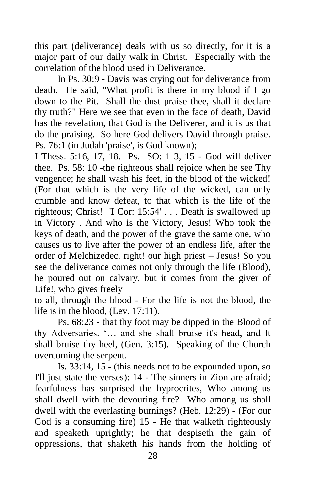this part (deliverance) deals with us so directly, for it is a major part of our daily walk in Christ. Especially with the correlation of the blood used in Deliverance.

In Ps. 30:9 - Davis was crying out for deliverance from death. He said, "What profit is there in my blood if I go down to the Pit. Shall the dust praise thee, shall it declare thy truth?" Here we see that even in the face of death, David has the revelation, that God is the Deliverer, and it is us that do the praising. So here God delivers David through praise. Ps. 76:1 (in Judah 'praise', is God known);

I Thess. 5:16, 17, 18. Ps. SO: 1 3, 15 - God will deliver thee. Ps. 58: 10 -the righteous shall rejoice when he see Thy vengence; he shall wash his feet, in the blood of the wicked! (For that which is the very life of the wicked, can only crumble and know defeat, to that which is the life of the righteous; Christ! 'I Cor: 15:54' . . . Death is swallowed up in Victory . And who is the Victory, Jesus! Who took the keys of death, and the power of the grave the same one, who causes us to live after the power of an endless life, after the order of Melchizedec, right! our high priest – Jesus! So you see the deliverance comes not only through the life (Blood), he poured out on calvary, but it comes from the giver of Life!, who gives freely

to all, through the blood - For the life is not the blood, the life is in the blood, (Lev. 17:11).

Ps. 68:23 - that thy foot may be dipped in the Blood of thy Adversaries. '… and she shall bruise it's head, and It shall bruise thy heel, (Gen. 3:15). Speaking of the Church overcoming the serpent.

Is. 33:14, 15 - (this needs not to be expounded upon, so I'll just state the verses): 14 - The sinners in Zion are afraid; fearfulness has surprised the hyprocrites, Who among us shall dwell with the devouring fire? Who among us shall dwell with the everlasting burnings? (Heb. 12:29) - (For our God is a consuming fire) 15 - He that walketh righteously and speaketh uprightly; he that despiseth the gain of oppressions, that shaketh his hands from the holding of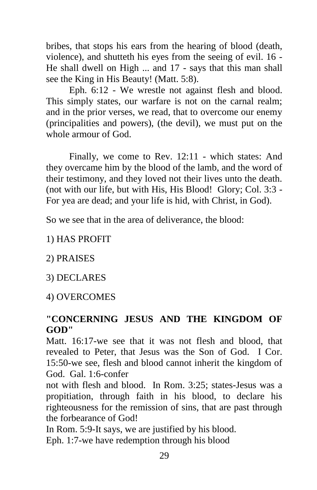bribes, that stops his ears from the hearing of blood (death, violence), and shutteth his eyes from the seeing of evil. 16 - He shall dwell on High ... and 17 - says that this man shall see the King in His Beauty! (Matt. 5:8).

Eph. 6:12 - We wrestle not against flesh and blood. This simply states, our warfare is not on the carnal realm; and in the prior verses, we read, that to overcome our enemy (principalities and powers), (the devil), we must put on the whole armour of God.

Finally, we come to Rev. 12:11 - which states: And they overcame him by the blood of the lamb, and the word of their testimony, and they loved not their lives unto the death. (not with our life, but with His, His Blood! Glory; Col. 3:3 - For yea are dead; and your life is hid, with Christ, in God).

So we see that in the area of deliverance, the blood:

## 1) HAS PROFIT

2) PRAISES

3) DECLARES

# 4) OVERCOMES

# **"CONCERNING JESUS AND THE KINGDOM OF GOD"**

Matt. 16:17-we see that it was not flesh and blood, that revealed to Peter, that Jesus was the Son of God. I Cor. 15:50-we see, flesh and blood cannot inherit the kingdom of God. Gal. 1:6-confer

not with flesh and blood. In Rom. 3:25; states-Jesus was a propitiation, through faith in his blood, to declare his righteousness for the remission of sins, that are past through the forbearance of God!

In Rom. 5:9-It says, we are justified by his blood.

Eph. 1:7-we have redemption through his blood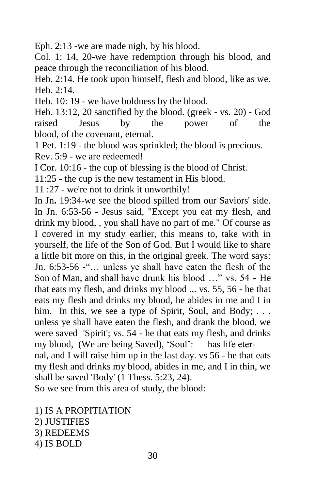Eph. 2:13 -we are made nigh, by his blood.

Col. 1: 14, 20-we have redemption through his blood, and peace through the reconciliation of his blood.

Heb. 2:14. He took upon himself, flesh and blood, like as we. Heb. 2:14.

Heb. 10: 19 - we have boldness by the blood.

Heb. 13:12, 20 sanctified by the blood. (greek - vs. 20) - God raised Jesus by the power of the blood, of the covenant, eternal.

1 Pet. 1:19 - the blood was sprinkled; the blood is precious. Rev. 5:9 - we are redeemed!

I Cor. 10:16 - the cup of blessing is the blood of Christ.

11:25 - the cup is the new testament in His blood.

11 :27 - we're not to drink it unworthily!

In Jn**.** 19:34-we see the blood spilled from our Saviors' side. In Jn. 6:53-56 - Jesus said, "Except you eat my flesh, and drink my blood, , you shall have no part of me." Of course as I covered in my study earlier, this means to, take with in yourself, the life of the Son of God. But I would like to share a little bit more on this, in the original greek. The word says: Jn. 6:53-56 -"… unless ye shall have eaten the flesh of the Son of Man, and shall have drunk his blood …" vs. 54 - He that eats my flesh, and drinks my blood ... vs. 55, 56 - he that eats my flesh and drinks my blood, he abides in me and I in him. In this, we see a type of Spirit, Soul, and Body; ... unless ye shall have eaten the flesh, and drank the blood, we were saved 'Spirit'; vs. 54 - he that eats my flesh, and drinks my blood, (We are being Saved), 'Soul': has life eter-

nal, and I will raise him up in the last day. vs 56 - he that eats my flesh and drinks my blood, abides in me, and I in thin, we shall be saved 'Body' (1 Thess. 5:23, 24).

So we see from this area of study, the blood:

- 1) IS A PROPITIATION
- 2) JUSTIFIES

3) REDEEMS

4) IS BOLD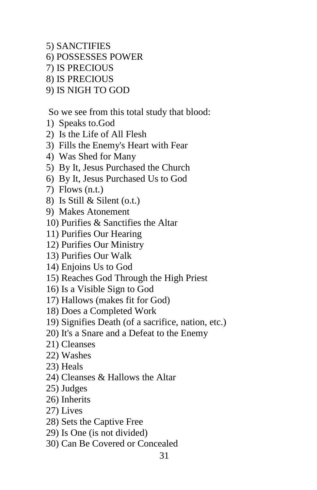- 5) SANCTIFIES
- 6) POSSESSES POWER
- 7) IS PRECIOUS
- 8) IS PRECIOUS
- 9) IS NIGH TO GOD

So we see from this total study that blood:

- 1) Speaks to.God
- 2) Is the Life of All Flesh
- 3) Fills the Enemy's Heart with Fear
- 4) Was Shed for Many
- 5) By It, Jesus Purchased the Church
- 6) By It, Jesus Purchased Us to God
- 7) Flows (n.t.)
- 8) Is Still & Silent (o.t.)
- 9) Makes Atonement
- 10) Purifies & Sanctifies the Altar
- 11) Purifies Our Hearing
- 12) Purifies Our Ministry
- 13) Purifies Our Walk
- 14) Enjoins Us to God
- 15) Reaches God Through the High Priest
- 16) Is a Visible Sign to God
- 17) Hallows (makes fit for God)
- 18) Does a Completed Work
- 19) Signifies Death (of a sacrifice, nation, etc.)
- 20) It's a Snare and a Defeat to the Enemy
- 21) Cleanses
- 22) Washes
- 23) Heals
- 24) Cleanses & Hallows the Altar
- 25) Judges
- 26) Inherits
- 27) Lives
- 28) Sets the Captive Free
- 29) Is One (is not divided)
- 30) Can Be Covered or Concealed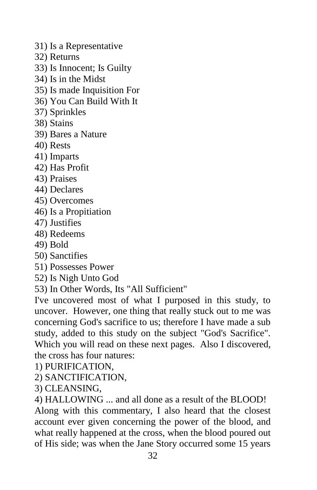- 31) Is a Representative
- 32) Returns
- 33) Is Innocent; Is Guilty
- 34) Is in the Midst
- 35) Is made Inquisition For
- 36) You Can Build With It
- 37) Sprinkles
- 38) Stains
- 39) Bares a Nature
- 40) Rests
- 41) Imparts
- 42) Has Profit
- 43) Praises
- 44) Declares
- 45) Overcomes
- 46) Is a Propitiation
- 47) Justifies
- 48) Redeems
- 49) Bold
- 50) Sanctifies
- 51) Possesses Power
- 52) Is Nigh Unto God
- 53) In Other Words, Its "All Sufficient"

I've uncovered most of what I purposed in this study, to uncover. However, one thing that really stuck out to me was concerning God's sacrifice to us; therefore I have made a sub study, added to this study on the subject "God's Sacrifice". Which you will read on these next pages. Also I discovered, the cross has four natures:

- 1) PURIFICATION,
- 2) SANCTIFICATION,
- 3) CLEANSING,

4) HALLOWING ... and all done as a result of the BLOOD! Along with this commentary, I also heard that the closest account ever given concerning the power of the blood, and what really happened at the cross, when the blood poured out of His side; was when the Jane Story occurred some 15 years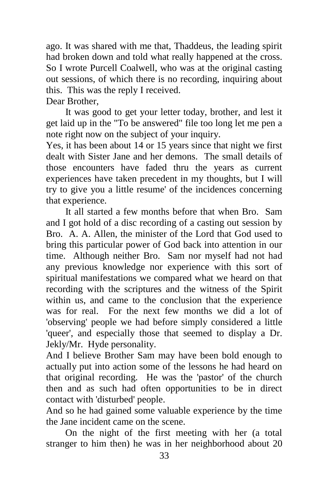ago. It was shared with me that, Thaddeus, the leading spirit had broken down and told what really happened at the cross. So I wrote Purcell Coalwell, who was at the original casting out sessions, of which there is no recording, inquiring about this. This was the reply I received.

Dear Brother,

 It was good to get your letter today, brother, and lest it get laid up in the "To be answered" file too long let me pen a note right now on the subject of your inquiry.

Yes, it has been about 14 or 15 years since that night we first dealt with Sister Jane and her demons. The small details of those encounters have faded thru the years as current experiences have taken precedent in my thoughts, but I will try to give you a little resume' of the incidences concerning that experience.

 It all started a few months before that when Bro. Sam and I got hold of a disc recording of a casting out session by Bro. A. A. Allen, the minister of the Lord that God used to bring this particular power of God back into attention in our time. Although neither Bro. Sam nor myself had not had any previous knowledge nor experience with this sort of spiritual manifestations we compared what we heard on that recording with the scriptures and the witness of the Spirit within us, and came to the conclusion that the experience was for real. For the next few months we did a lot of 'observing' people we had before simply considered a little 'queer', and especially those that seemed to display a Dr. Jekly/Mr. Hyde personality.

And I believe Brother Sam may have been bold enough to actually put into action some of the lessons he had heard on that original recording. He was the 'pastor' of the church then and as such had often opportunities to be in direct contact with 'disturbed' people.

And so he had gained some valuable experience by the time the Jane incident came on the scene.

 On the night of the first meeting with her (a total stranger to him then) he was in her neighborhood about 20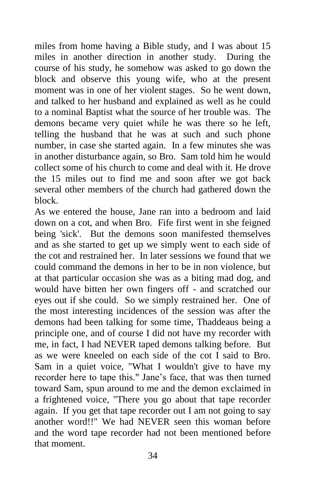miles from home having a Bible study, and I was about 15 miles in another direction in another study. During the course of his study, he somehow was asked to go down the block and observe this young wife, who at the present moment was in one of her violent stages. So he went down, and talked to her husband and explained as well as he could to a nominal Baptist what the source of her trouble was. The demons became very quiet while he was there so he left, telling the husband that he was at such and such phone number, in case she started again. In a few minutes she was in another disturbance again, so Bro. Sam told him he would collect some of his church to come and deal with it. He drove the 15 miles out to find me and soon after we got back several other members of the church had gathered down the block.

As we entered the house, Jane ran into a bedroom and laid down on a cot, and when Bro. Fife first went in she feigned being 'sick'. But the demons soon manifested themselves and as she started to get up we simply went to each side of the cot and restrained her. In later sessions we found that we could command the demons in her to be in non violence, but at that particular occasion she was as a biting mad dog, and would have bitten her own fingers off - and scratched our eyes out if she could. So we simply restrained her. One of the most interesting incidences of the session was after the demons had been talking for some time, Thaddeaus being a principle one, and of course I did not have my recorder with me, in fact, I had NEVER taped demons talking before. But as we were kneeled on each side of the cot I said to Bro. Sam in a quiet voice, "What I wouldn't give to have my recorder here to tape this." Jane's face, that was then turned toward Sam, spun around to me and the demon exclaimed in a frightened voice, "There you go about that tape recorder again. If you get that tape recorder out I am not going to say another word!!" We had NEVER seen this woman before and the word tape recorder had not been mentioned before that moment.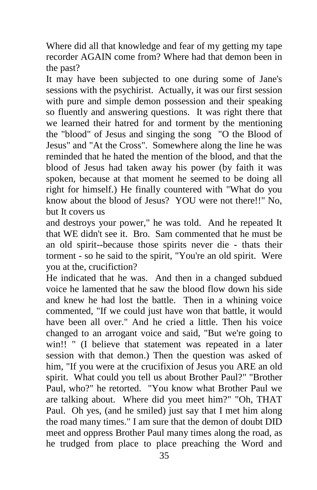Where did all that knowledge and fear of my getting my tape recorder AGAIN come from? Where had that demon been in the past?

It may have been subjected to one during some of Jane's sessions with the psychirist. Actually, it was our first session with pure and simple demon possession and their speaking so fluently and answering questions. It was right there that we learned their hatred for and torment by the mentioning the "blood" of Jesus and singing the song "O the Blood of Jesus" and "At the Cross". Somewhere along the line he was reminded that he hated the mention of the blood, and that the blood of Jesus had taken away his power (by faith it was spoken, because at that moment he seemed to be doing all right for himself.) He finally countered with "What do you know about the blood of Jesus? YOU were not there!!" No, but It covers us

and destroys your power," he was told. And he repeated It that WE didn't see it. Bro. Sam commented that he must be an old spirit--because those spirits never die - thats their torment - so he said to the spirit, "You're an old spirit. Were you at the, crucifiction?

He indicated that he was. And then in a changed subdued voice he lamented that he saw the blood flow down his side and knew he had lost the battle. Then in a whining voice commented, "If we could just have won that battle, it would have been all over." And he cried a little. Then his voice changed to an arrogant voice and said, "But we're going to win!! " (I believe that statement was repeated in a later session with that demon.) Then the question was asked of him, "If you were at the crucifixion of Jesus you ARE an old spirit. What could you tell us about Brother Paul?" "Brother Paul, who?" he retorted. "You know what Brother Paul we are talking about. Where did you meet him?" "Oh, THAT Paul. Oh yes, (and he smiled) just say that I met him along the road many times." I am sure that the demon of doubt DID meet and oppress Brother Paul many times along the road, as he trudged from place to place preaching the Word and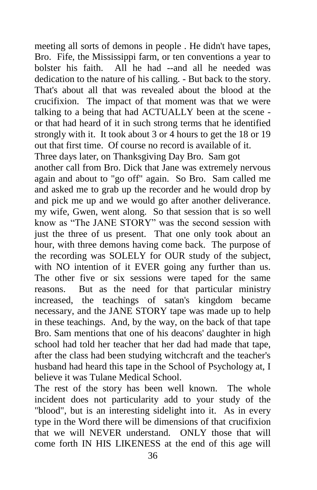meeting all sorts of demons in people . He didn't have tapes, Bro. Fife, the Mississippi farm, or ten conventions a year to bolster his faith. All he had --and all he needed was dedication to the nature of his calling. - But back to the story. That's about all that was revealed about the blood at the crucifixion. The impact of that moment was that we were talking to a being that had ACTUALLY been at the scene or that had heard of it in such strong terms that he identified strongly with it. It took about 3 or 4 hours to get the 18 or 19 out that first time. Of course no record is available of it.

Three days later, on Thanksgiving Day Bro. Sam got another call from Bro. Dick that Jane was extremely nervous again and about to "go off" again. So Bro. Sam called me and asked me to grab up the recorder and he would drop by and pick me up and we would go after another deliverance. my wife, Gwen, went along. So that session that is so well know as "The JANE STORY" was the second session with just the three of us present. That one only took about an hour, with three demons having come back. The purpose of the recording was SOLELY for OUR study of the subject, with NO intention of it EVER going any further than us. The other five or six sessions were taped for the same reasons. But as the need for that particular ministry increased, the teachings of satan's kingdom became necessary, and the JANE STORY tape was made up to help in these teachings. And, by the way, on the back of that tape Bro. Sam mentions that one of his deacons' daughter in high school had told her teacher that her dad had made that tape, after the class had been studying witchcraft and the teacher's husband had heard this tape in the School of Psychology at, I believe it was Tulane Medical School.

The rest of the story has been well known. The whole incident does not particularity add to your study of the "blood", but is an interesting sidelight into it. As in every type in the Word there will be dimensions of that crucifixion that we will NEVER understand. ONLY those that will come forth IN HIS LIKENESS at the end of this age will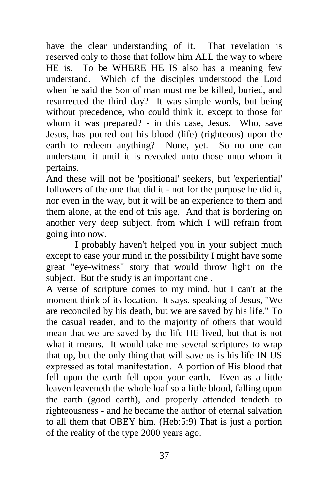have the clear understanding of it. That revelation is reserved only to those that follow him ALL the way to where HE is. To be WHERE HE IS also has a meaning few understand. Which of the disciples understood the Lord when he said the Son of man must me be killed, buried, and resurrected the third day? It was simple words, but being without precedence, who could think it, except to those for whom it was prepared? - in this case, Jesus. Who, save Jesus, has poured out his blood (life) (righteous) upon the earth to redeem anything? None, yet. So no one can understand it until it is revealed unto those unto whom it pertains.

And these will not be 'positional' seekers, but 'experiential' followers of the one that did it - not for the purpose he did it, nor even in the way, but it will be an experience to them and them alone, at the end of this age. And that is bordering on another very deep subject, from which I will refrain from going into now.

I probably haven't helped you in your subject much except to ease your mind in the possibility I might have some great "eye-witness" story that would throw light on the subject. But the study is an important one .

A verse of scripture comes to my mind, but I can't at the moment think of its location. It says, speaking of Jesus, "We are reconciled by his death, but we are saved by his life." To the casual reader, and to the majority of others that would mean that we are saved by the life HE lived, but that is not what it means. It would take me several scriptures to wrap that up, but the only thing that will save us is his life IN US expressed as total manifestation. A portion of His blood that fell upon the earth fell upon your earth. Even as a little leaven leaveneth the whole loaf so a little blood, falling upon the earth (good earth), and properly attended tendeth to righteousness - and he became the author of eternal salvation to all them that OBEY him. (Heb:5:9) That is just a portion of the reality of the type 2000 years ago.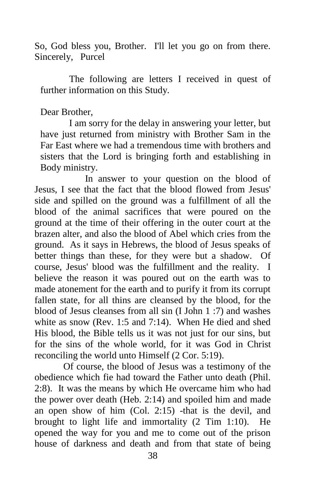So, God bless you, Brother. I'll let you go on from there. Sincerely, Purcel

The following are letters I received in quest of further information on this Study.

### Dear Brother,

I am sorry for the delay in answering your letter, but have just returned from ministry with Brother Sam in the Far East where we had a tremendous time with brothers and sisters that the Lord is bringing forth and establishing in Body ministry.

 In answer to your question on the blood of Jesus, I see that the fact that the blood flowed from Jesus' side and spilled on the ground was a fulfillment of all the blood of the animal sacrifices that were poured on the ground at the time of their offering in the outer court at the brazen alter, and also the blood of Abel which cries from the ground. As it says in Hebrews, the blood of Jesus speaks of better things than these, for they were but a shadow. Of course, Jesus' blood was the fulfillment and the reality. I believe the reason it was poured out on the earth was to made atonement for the earth and to purify it from its corrupt fallen state, for all thins are cleansed by the blood, for the blood of Jesus cleanses from all sin (I John 1 :7) and washes white as snow (Rev. 1:5 and 7:14). When He died and shed His blood, the Bible tells us it was not just for our sins, but for the sins of the whole world, for it was God in Christ reconciling the world unto Himself (2 Cor. 5:19).

Of course, the blood of Jesus was a testimony of the obedience which fie had toward the Father unto death (Phil. 2:8). It was the means by which He overcame him who had the power over death (Heb. 2:14) and spoiled him and made an open show of him (Col. 2:15) -that is the devil, and brought to light life and immortality (2 Tim 1:10). He opened the way for you and me to come out of the prison house of darkness and death and from that state of being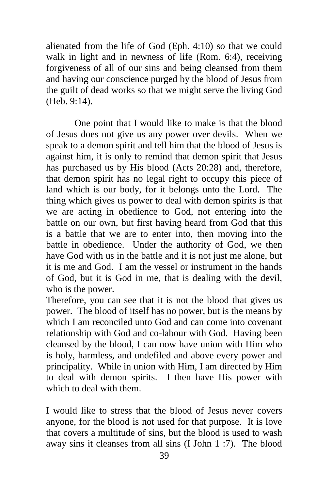alienated from the life of God (Eph. 4:10) so that we could walk in light and in newness of life (Rom. 6:4), receiving forgiveness of all of our sins and being cleansed from them and having our conscience purged by the blood of Jesus from the guilt of dead works so that we might serve the living God (Heb. 9:14).

 One point that I would like to make is that the blood of Jesus does not give us any power over devils. When we speak to a demon spirit and tell him that the blood of Jesus is against him, it is only to remind that demon spirit that Jesus has purchased us by His blood (Acts 20:28) and, therefore, that demon spirit has no legal right to occupy this piece of land which is our body, for it belongs unto the Lord. The thing which gives us power to deal with demon spirits is that we are acting in obedience to God, not entering into the battle on our own, but first having heard from God that this is a battle that we are to enter into, then moving into the battle in obedience. Under the authority of God, we then have God with us in the battle and it is not just me alone, but it is me and God. I am the vessel or instrument in the hands of God, but it is God in me, that is dealing with the devil, who is the power.

Therefore, you can see that it is not the blood that gives us power. The blood of itself has no power, but is the means by which I am reconciled unto God and can come into covenant relationship with God and co-labour with God. Having been cleansed by the blood, I can now have union with Him who is holy, harmless, and undefiled and above every power and principality. While in union with Him, I am directed by Him to deal with demon spirits. I then have His power with which to deal with them.

I would like to stress that the blood of Jesus never covers anyone, for the blood is not used for that purpose. It is love that covers a multitude of sins, but the blood is used to wash away sins it cleanses from all sins (I John 1 :7). The blood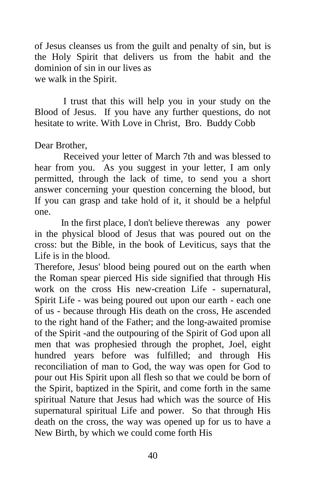of Jesus cleanses us from the guilt and penalty of sin, but is the Holy Spirit that delivers us from the habit and the dominion of sin in our lives as we walk in the Spirit.

I trust that this will help you in your study on the Blood of Jesus. If you have any further questions, do not hesitate to write. With Love in Christ, Bro. Buddy Cobb

Dear Brother,

Received your letter of March 7th and was blessed to hear from you. As you suggest in your letter, I am only permitted, through the lack of time, to send you a short answer concerning your question concerning the blood, but If you can grasp and take hold of it, it should be a helpful one.

 In the first place, I don't believe therewas any power in the physical blood of Jesus that was poured out on the cross: but the Bible, in the book of Leviticus, says that the Life is in the blood.

Therefore, Jesus' blood being poured out on the earth when the Roman spear pierced His side signified that through His work on the cross His new-creation Life - supernatural, Spirit Life - was being poured out upon our earth - each one of us - because through His death on the cross, He ascended to the right hand of the Father; and the long-awaited promise of the Spirit -and the outpouring of the Spirit of God upon all men that was prophesied through the prophet, Joel, eight hundred years before was fulfilled; and through His reconciliation of man to God, the way was open for God to pour out His Spirit upon all flesh so that we could be born of the Spirit, baptized in the Spirit, and come forth in the same spiritual Nature that Jesus had which was the source of His supernatural spiritual Life and power. So that through His death on the cross, the way was opened up for us to have a New Birth, by which we could come forth His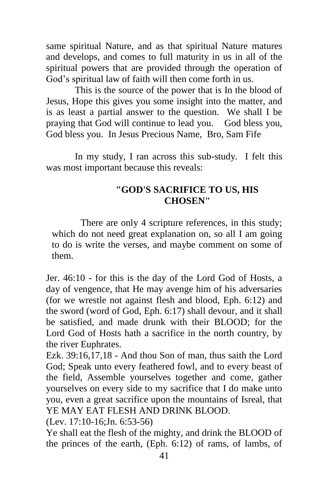same spiritual Nature, and as that spiritual Nature matures and develops, and comes to full maturity in us in all of the spiritual powers that are provided through the operation of God's spiritual law of faith will then come forth in us.

This is the source of the power that is In the blood of Jesus, Hope this gives you some insight into the matter, and is as least a partial answer to the question. We shall I be praying that God will continue to lead you. God bless you, God bless you. In Jesus Precious Name, Bro, Sam Fife

In my study, I ran across this sub-study. I felt this was most important because this reveals:

### **"GOD'S SACRIFICE TO US, HIS CHOSEN"**

There are only 4 scripture references, in this study; which do not need great explanation on, so all I am going to do is write the verses, and maybe comment on some of them.

Jer. 46:10 - for this is the day of the Lord God of Hosts, a day of vengence, that He may avenge him of his adversaries (for we wrestle not against flesh and blood, Eph. 6:12) and the sword (word of God, Eph. 6:17) shall devour, and it shall be satisfied, and made drunk with their BLOOD; for the Lord God of Hosts hath a sacrifice in the north country, by the river Euphrates.

Ezk. 39:16,17,18 - And thou Son of man, thus saith the Lord God; Speak unto every feathered fowl, and to every beast of the field, Assemble yourselves together and come, gather yourselves on every side to my sacrifice that I do make unto you, even a great sacrifice upon the mountains of Isreal, that YE MAY EAT FLESH AND DRINK BLOOD.

(Lev. 17:10-16;Jn. 6:53-56)

Ye shall eat the flesh of the mighty, and drink the BLOOD of the princes of the earth, (Eph. 6:12) of rams, of lambs, of